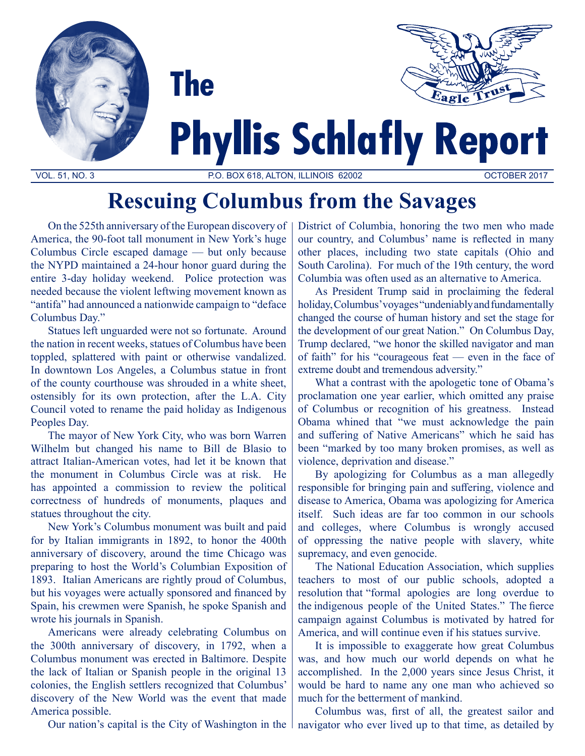

# **Rescuing Columbus from the Savages**

On the 525th anniversary of the European discovery of America, the 90-foot tall monument in New York's huge Columbus Circle escaped damage — but only because the NYPD maintained a 24-hour honor guard during the entire 3-day holiday weekend. Police protection was needed because the violent leftwing movement known as "antifa" had announced a nationwide campaign to "deface Columbus Day."

Statues left unguarded were not so fortunate. Around the nation in recent weeks, statues of Columbus have been toppled, splattered with paint or otherwise vandalized. In downtown Los Angeles, a Columbus statue in front of the county courthouse was shrouded in a white sheet, ostensibly for its own protection, after the L.A. City Council voted to rename the paid holiday as Indigenous Peoples Day.

The mayor of New York City, who was born Warren Wilhelm but changed his name to Bill de Blasio to attract Italian-American votes, had let it be known that the monument in Columbus Circle was at risk. He has appointed a commission to review the political correctness of hundreds of monuments, plaques and statues throughout the city.

New York's Columbus monument was built and paid for by Italian immigrants in 1892, to honor the 400th anniversary of discovery, around the time Chicago was preparing to host the World's Columbian Exposition of 1893. Italian Americans are rightly proud of Columbus, but his voyages were actually sponsored and financed by Spain, his crewmen were Spanish, he spoke Spanish and wrote his journals in Spanish.

Americans were already celebrating Columbus on the 300th anniversary of discovery, in 1792, when a Columbus monument was erected in Baltimore. Despite the lack of Italian or Spanish people in the original 13 colonies, the English settlers recognized that Columbus' discovery of the New World was the event that made America possible.

Our nation's capital is the City of Washington in the

District of Columbia, honoring the two men who made our country, and Columbus' name is reflected in many other places, including two state capitals (Ohio and South Carolina). For much of the 19th century, the word Columbia was often used as an alternative to America.

As President Trump said in proclaiming the federal holiday, Columbus' voyages "undeniably and fundamentally changed the course of human history and set the stage for the development of our great Nation." On Columbus Day, Trump declared, "we honor the skilled navigator and man of faith" for his "courageous feat — even in the face of extreme doubt and tremendous adversity."

What a contrast with the apologetic tone of Obama's proclamation one year earlier, which omitted any praise of Columbus or recognition of his greatness. Instead Obama whined that "we must acknowledge the pain and suffering of Native Americans" which he said has been "marked by too many broken promises, as well as violence, deprivation and disease."

By apologizing for Columbus as a man allegedly responsible for bringing pain and suffering, violence and disease to America, Obama was apologizing for America itself. Such ideas are far too common in our schools and colleges, where Columbus is wrongly accused of oppressing the native people with slavery, white supremacy, and even genocide.

The National Education Association, which supplies teachers to most of our public schools, adopted a resolution that "formal apologies are long overdue to the indigenous people of the United States." The fierce campaign against Columbus is motivated by hatred for America, and will continue even if his statues survive.

It is impossible to exaggerate how great Columbus was, and how much our world depends on what he accomplished. In the 2,000 years since Jesus Christ, it would be hard to name any one man who achieved so much for the betterment of mankind.

Columbus was, first of all, the greatest sailor and navigator who ever lived up to that time, as detailed by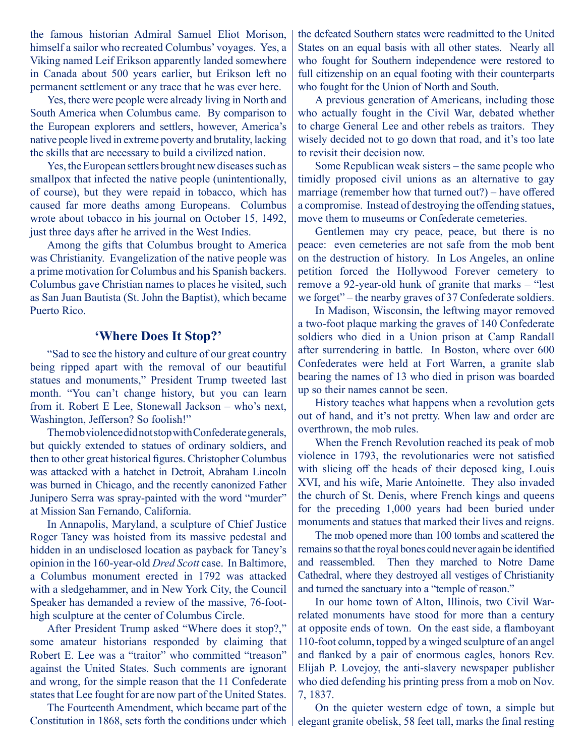the famous historian Admiral Samuel Eliot Morison, himself a sailor who recreated Columbus' voyages. Yes, a Viking named Leif Erikson apparently landed somewhere in Canada about 500 years earlier, but Erikson left no permanent settlement or any trace that he was ever here.

Yes, there were people were already living in North and South America when Columbus came. By comparison to the European explorers and settlers, however, America's native people lived in extreme poverty and brutality, lacking the skills that are necessary to build a civilized nation.

Yes, the European settlers brought new diseases such as smallpox that infected the native people (unintentionally, of course), but they were repaid in tobacco, which has caused far more deaths among Europeans. Columbus wrote about tobacco in his journal on October 15, 1492, just three days after he arrived in the West Indies.

Among the gifts that Columbus brought to America was Christianity. Evangelization of the native people was a prime motivation for Columbus and his Spanish backers. Columbus gave Christian names to places he visited, such as San Juan Bautista (St. John the Baptist), which became Puerto Rico.

## **'Where Does It Stop?'**

"Sad to see the history and culture of our great country being ripped apart with the removal of our beautiful statues and monuments," President Trump tweeted last month. "You can't change history, but you can learn from it. Robert E Lee, Stonewall Jackson – who's next, Washington, Jefferson? So foolish!"

The mob violence did not stop with Confederate generals, but quickly extended to statues of ordinary soldiers, and then to other great historical figures. Christopher Columbus was attacked with a hatchet in Detroit, Abraham Lincoln was burned in Chicago, and the recently canonized Father Junipero Serra was spray-painted with the word "murder" at Mission San Fernando, California.

In Annapolis, Maryland, a sculpture of Chief Justice Roger Taney was hoisted from its massive pedestal and hidden in an undisclosed location as payback for Taney's opinion in the 160-year-old *Dred Scott* case. In Baltimore, a Columbus monument erected in 1792 was attacked with a sledgehammer, and in New York City, the Council Speaker has demanded a review of the massive, 76-foothigh sculpture at the center of Columbus Circle.

After President Trump asked "Where does it stop?," some amateur historians responded by claiming that Robert E. Lee was a "traitor" who committed "treason" against the United States. Such comments are ignorant and wrong, for the simple reason that the 11 Confederate states that Lee fought for are now part of the United States.

The Fourteenth Amendment, which became part of the Constitution in 1868, sets forth the conditions under which the defeated Southern states were readmitted to the United States on an equal basis with all other states. Nearly all who fought for Southern independence were restored to full citizenship on an equal footing with their counterparts who fought for the Union of North and South.

A previous generation of Americans, including those who actually fought in the Civil War, debated whether to charge General Lee and other rebels as traitors. They wisely decided not to go down that road, and it's too late to revisit their decision now.

Some Republican weak sisters – the same people who timidly proposed civil unions as an alternative to gay marriage (remember how that turned out?) – have offered a compromise. Instead of destroying the offending statues, move them to museums or Confederate cemeteries.

Gentlemen may cry peace, peace, but there is no peace: even cemeteries are not safe from the mob bent on the destruction of history. In Los Angeles, an online petition forced the Hollywood Forever cemetery to remove a 92-year-old hunk of granite that marks – "lest we forget" – the nearby graves of 37 Confederate soldiers.

In Madison, Wisconsin, the leftwing mayor removed a two-foot plaque marking the graves of 140 Confederate soldiers who died in a Union prison at Camp Randall after surrendering in battle. In Boston, where over 600 Confederates were held at Fort Warren, a granite slab bearing the names of 13 who died in prison was boarded up so their names cannot be seen.

History teaches what happens when a revolution gets out of hand, and it's not pretty. When law and order are overthrown, the mob rules.

When the French Revolution reached its peak of mob violence in 1793, the revolutionaries were not satisfied with slicing off the heads of their deposed king, Louis XVI, and his wife, Marie Antoinette. They also invaded the church of St. Denis, where French kings and queens for the preceding 1,000 years had been buried under monuments and statues that marked their lives and reigns.

The mob opened more than 100 tombs and scattered the remains so that the royal bones could never again be identified and reassembled. Then they marched to Notre Dame Cathedral, where they destroyed all vestiges of Christianity and turned the sanctuary into a "temple of reason."

In our home town of Alton, Illinois, two Civil Warrelated monuments have stood for more than a century at opposite ends of town. On the east side, a flamboyant 110-foot column, topped by a winged sculpture of an angel and flanked by a pair of enormous eagles, honors Rev. Elijah P. Lovejoy, the anti-slavery newspaper publisher who died defending his printing press from a mob on Nov. 7, 1837.

On the quieter western edge of town, a simple but elegant granite obelisk, 58 feet tall, marks the final resting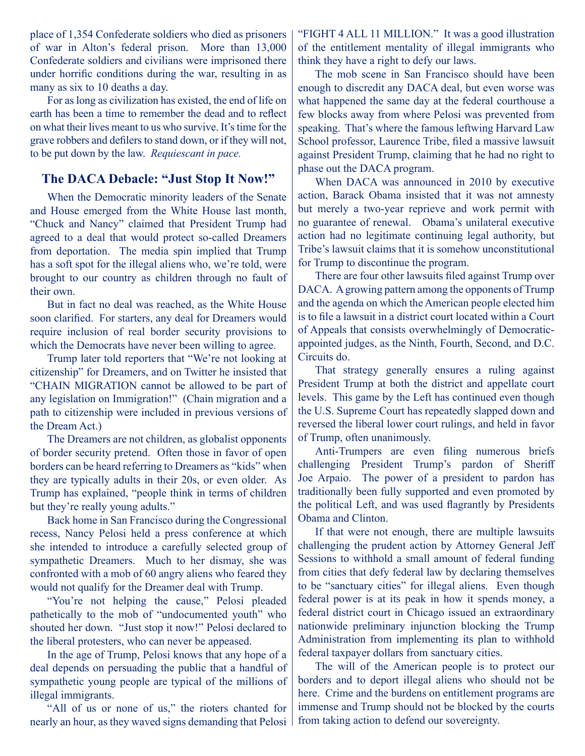place of 1,354 Confederate soldiers who died as prisoners of war in Alton's federal prison. More than 13,000 Confederate soldiers and civilians were imprisoned there under horrific conditions during the war, resulting in as many as six to 10 deaths a day.

For as long as civilization has existed, the end of life on earth has been a time to remember the dead and to reflect on what their lives meant to us who survive. It's time for the grave robbers and defilers to stand down, or if they will not, to be put down by the law. *Requiescant in pace.*

# **The DACA Debacle: "Just Stop It Now!"**

When the Democratic minority leaders of the Senate and House emerged from the White House last month, "Chuck and Nancy" claimed that President Trump had agreed to a deal that would protect so-called Dreamers from deportation. The media spin implied that Trump has a soft spot for the illegal aliens who, we're told, were brought to our country as children through no fault of their own.

But in fact no deal was reached, as the White House soon clarified. For starters, any deal for Dreamers would require inclusion of real border security provisions to which the Democrats have never been willing to agree.

Trump later told reporters that "We're not looking at citizenship" for Dreamers, and on Twitter he insisted that "CHAIN MIGRATION cannot be allowed to be part of any legislation on Immigration!" (Chain migration and a path to citizenship were included in previous versions of the Dream Act.)

The Dreamers are not children, as globalist opponents of border security pretend. Often those in favor of open borders can be heard referring to Dreamers as "kids" when they are typically adults in their 20s, or even older. As Trump has explained, "people think in terms of children but they're really young adults."

Back home in San Francisco during the Congressional recess, Nancy Pelosi held a press conference at which she intended to introduce a carefully selected group of sympathetic Dreamers. Much to her dismay, she was confronted with a mob of 60 angry aliens who feared they would not qualify for the Dreamer deal with Trump.

"You're not helping the cause," Pelosi pleaded pathetically to the mob of "undocumented youth" who shouted her down. "Just stop it now!" Pelosi declared to the liberal protesters, who can never be appeased.

In the age of Trump, Pelosi knows that any hope of a deal depends on persuading the public that a handful of sympathetic young people are typical of the millions of illegal immigrants.

"All of us or none of us," the rioters chanted for nearly an hour, as they waved signs demanding that Pelosi "FIGHT 4 ALL 11 MILLION." It was a good illustration of the entitlement mentality of illegal immigrants who think they have a right to defy our laws.

The mob scene in San Francisco should have been enough to discredit any DACA deal, but even worse was what happened the same day at the federal courthouse a few blocks away from where Pelosi was prevented from speaking. That's where the famous leftwing Harvard Law School professor, Laurence Tribe, filed a massive lawsuit against President Trump, claiming that he had no right to phase out the DACA program.

When DACA was announced in 2010 by executive action, Barack Obama insisted that it was not amnesty but merely a two-year reprieve and work permit with no guarantee of renewal. Obama's unilateral executive action had no legitimate continuing legal authority, but Tribe's lawsuit claims that it is somehow unconstitutional for Trump to discontinue the program.

There are four other lawsuits filed against Trump over DACA. A growing pattern among the opponents of Trump and the agenda on which the American people elected him is to file a lawsuit in a district court located within a Court of Appeals that consists overwhelmingly of Democraticappointed judges, as the Ninth, Fourth, Second, and D.C. Circuits do.

That strategy generally ensures a ruling against President Trump at both the district and appellate court levels. This game by the Left has continued even though the U.S. Supreme Court has repeatedly slapped down and reversed the liberal lower court rulings, and held in favor of Trump, often unanimously.

Anti-Trumpers are even filing numerous briefs challenging President Trump's pardon of Sheriff Joe Arpaio. The power of a president to pardon has traditionally been fully supported and even promoted by the political Left, and was used flagrantly by Presidents Obama and Clinton.

If that were not enough, there are multiple lawsuits challenging the prudent action by Attorney General Jeff Sessions to withhold a small amount of federal funding from cities that defy federal law by declaring themselves to be "sanctuary cities" for illegal aliens. Even though federal power is at its peak in how it spends money, a federal district court in Chicago issued an extraordinary nationwide preliminary injunction blocking the Trump Administration from implementing its plan to withhold federal taxpayer dollars from sanctuary cities.

The will of the American people is to protect our borders and to deport illegal aliens who should not be here. Crime and the burdens on entitlement programs are immense and Trump should not be blocked by the courts from taking action to defend our sovereignty.